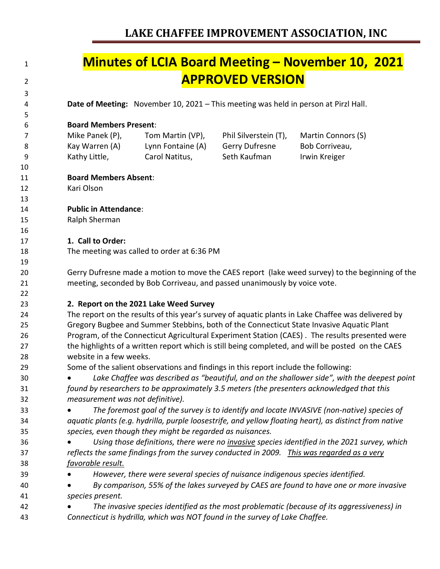|                                                                                                        | <b>APPROVED VERSION</b> |                    |
|--------------------------------------------------------------------------------------------------------|-------------------------|--------------------|
|                                                                                                        |                         |                    |
| Date of Meeting: November 10, 2021 - This meeting was held in person at Pirzl Hall.                    |                         |                    |
| <b>Board Members Present:</b>                                                                          |                         |                    |
| Mike Panek (P),<br>Tom Martin (VP),                                                                    | Phil Silverstein (T),   | Martin Connors (S) |
| Lynn Fontaine (A)<br>Kay Warren (A)                                                                    | Gerry Dufresne          | Bob Corriveau,     |
| Kathy Little,<br>Carol Natitus,                                                                        | Seth Kaufman            | Irwin Kreiger      |
|                                                                                                        |                         |                    |
| <b>Board Members Absent:</b>                                                                           |                         |                    |
| Kari Olson                                                                                             |                         |                    |
|                                                                                                        |                         |                    |
| <b>Public in Attendance:</b>                                                                           |                         |                    |
| Ralph Sherman                                                                                          |                         |                    |
|                                                                                                        |                         |                    |
| 1. Call to Order:                                                                                      |                         |                    |
| The meeting was called to order at 6:36 PM                                                             |                         |                    |
|                                                                                                        |                         |                    |
| Gerry Dufresne made a motion to move the CAES report (lake weed survey) to the beginning of the        |                         |                    |
| meeting, seconded by Bob Corriveau, and passed unanimously by voice vote.                              |                         |                    |
| 2. Report on the 2021 Lake Weed Survey                                                                 |                         |                    |
| The report on the results of this year's survey of aquatic plants in Lake Chaffee was delivered by     |                         |                    |
| Gregory Bugbee and Summer Stebbins, both of the Connecticut State Invasive Aquatic Plant               |                         |                    |
| Program, of the Connecticut Agricultural Experiment Station (CAES). The results presented were         |                         |                    |
| the highlights of a written report which is still being completed, and will be posted on the CAES      |                         |                    |
| website in a few weeks.                                                                                |                         |                    |
| Some of the salient observations and findings in this report include the following:                    |                         |                    |
| Lake Chaffee was described as "beautiful, and on the shallower side", with the deepest point           |                         |                    |
| found by researchers to be approximately 3.5 meters (the presenters acknowledged that this             |                         |                    |
| measurement was not definitive).                                                                       |                         |                    |
| The foremost goal of the survey is to identify and locate INVASIVE (non-native) species of             |                         |                    |
| aquatic plants (e.g. hydrilla, purple loosestrife, and yellow floating heart), as distinct from native |                         |                    |
| species, even though they might be regarded as nuisances.                                              |                         |                    |
| Using those definitions, there were no invasive species identified in the 2021 survey, which           |                         |                    |
| reflects the same findings from the survey conducted in 2009. This was regarded as a very              |                         |                    |
| favorable result.                                                                                      |                         |                    |
| However, there were several species of nuisance indigenous species identified.                         |                         |                    |
| By comparison, 55% of the lakes surveyed by CAES are found to have one or more invasive                |                         |                    |
| species present.                                                                                       |                         |                    |
| The invasive species identified as the most problematic (because of its aggressiveness) in             |                         |                    |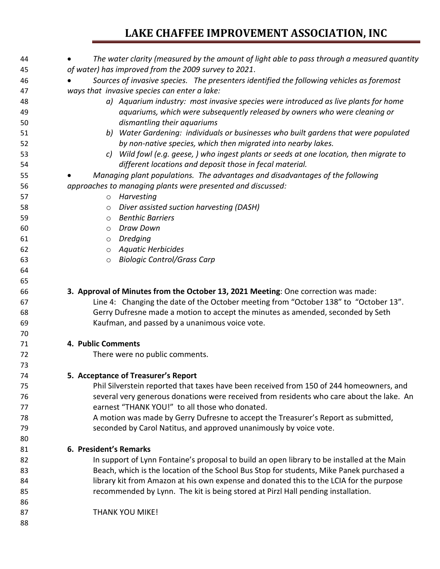| 44 | The water clarity (measured by the amount of light able to pass through a measured quantity |
|----|---------------------------------------------------------------------------------------------|
| 45 | of water) has improved from the 2009 survey to 2021.                                        |
| 46 | Sources of invasive species. The presenters identified the following vehicles as foremost   |
| 47 | ways that invasive species can enter a lake:                                                |
| 48 | a) Aquarium industry: most invasive species were introduced as live plants for home         |
| 49 | aquariums, which were subsequently released by owners who were cleaning or                  |
| 50 | dismantling their aquariums                                                                 |
| 51 | b) Water Gardening: individuals or businesses who built gardens that were populated         |
| 52 | by non-native species, which then migrated into nearby lakes.                               |
| 53 | c) Wild fowl (e.g. geese, ) who ingest plants or seeds at one location, then migrate to     |
| 54 | different locations and deposit those in fecal material.                                    |
| 55 | Managing plant populations. The advantages and disadvantages of the following               |
| 56 | approaches to managing plants were presented and discussed:                                 |
| 57 | Harvesting<br>$\circ$                                                                       |
| 58 | Diver assisted suction harvesting (DASH)<br>O                                               |
| 59 | <b>Benthic Barriers</b><br>$\circ$                                                          |
| 60 | Draw Down<br>$\circ$                                                                        |
| 61 | <b>Dredging</b><br>$\circ$                                                                  |
| 62 | <b>Aquatic Herbicides</b><br>$\circ$                                                        |
| 63 | <b>Biologic Control/Grass Carp</b><br>$\circ$                                               |
| 64 |                                                                                             |
| 65 |                                                                                             |
| 66 | 3. Approval of Minutes from the October 13, 2021 Meeting: One correction was made:          |
| 67 | Line 4: Changing the date of the October meeting from "October 138" to "October 13".        |
| 68 | Gerry Dufresne made a motion to accept the minutes as amended, seconded by Seth             |
| 69 | Kaufman, and passed by a unanimous voice vote.                                              |
| 70 |                                                                                             |
| 71 | 4. Public Comments                                                                          |
| 72 | There were no public comments.                                                              |
| 73 |                                                                                             |
| 74 | 5. Acceptance of Treasurer's Report                                                         |
| 75 | Phil Silverstein reported that taxes have been received from 150 of 244 homeowners, and     |
| 76 | several very generous donations were received from residents who care about the lake. An    |
| 77 | earnest "THANK YOU!" to all those who donated.                                              |
| 78 | A motion was made by Gerry Dufresne to accept the Treasurer's Report as submitted,          |
| 79 | seconded by Carol Natitus, and approved unanimously by voice vote.                          |
|    |                                                                                             |
| 80 |                                                                                             |
| 81 | 6. President's Remarks                                                                      |
| 82 | In support of Lynn Fontaine's proposal to build an open library to be installed at the Main |
| 83 | Beach, which is the location of the School Bus Stop for students, Mike Panek purchased a    |
| 84 | library kit from Amazon at his own expense and donated this to the LCIA for the purpose     |
| 85 | recommended by Lynn. The kit is being stored at Pirzl Hall pending installation.            |
| 86 |                                                                                             |
| 87 | THANK YOU MIKE!                                                                             |
| 88 |                                                                                             |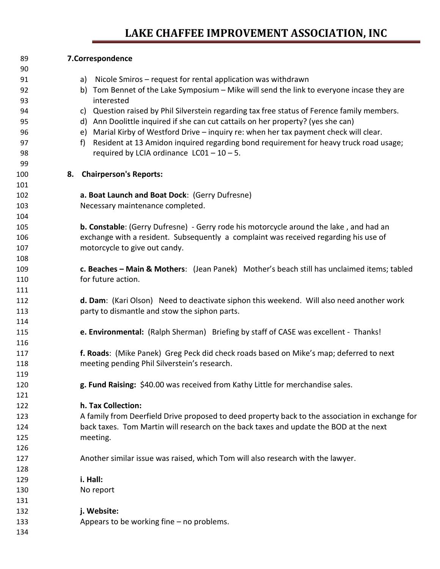| 89  |    | 7.Correspondence                                                                                |
|-----|----|-------------------------------------------------------------------------------------------------|
| 90  |    |                                                                                                 |
| 91  |    | Nicole Smiros - request for rental application was withdrawn<br>a)                              |
| 92  |    | b) Tom Bennet of the Lake Symposium - Mike will send the link to everyone incase they are       |
| 93  |    | interested                                                                                      |
| 94  |    | Question raised by Phil Silverstein regarding tax free status of Ference family members.<br>c)  |
| 95  |    | d) Ann Doolittle inquired if she can cut cattails on her property? (yes she can)                |
| 96  |    | Marial Kirby of Westford Drive - inquiry re: when her tax payment check will clear.<br>e)       |
| 97  |    | Resident at 13 Amidon inquired regarding bond requirement for heavy truck road usage;<br>f      |
| 98  |    | required by LCIA ordinance $LC01 - 10 - 5$ .                                                    |
| 99  |    |                                                                                                 |
| 100 | 8. | <b>Chairperson's Reports:</b>                                                                   |
| 101 |    |                                                                                                 |
| 102 |    | a. Boat Launch and Boat Dock: (Gerry Dufresne)                                                  |
| 103 |    | Necessary maintenance completed.                                                                |
| 104 |    |                                                                                                 |
| 105 |    | b. Constable: (Gerry Dufresne) - Gerry rode his motorcycle around the lake, and had an          |
| 106 |    | exchange with a resident. Subsequently a complaint was received regarding his use of            |
| 107 |    | motorcycle to give out candy.                                                                   |
| 108 |    |                                                                                                 |
| 109 |    | c. Beaches - Main & Mothers: (Jean Panek) Mother's beach still has unclaimed items; tabled      |
| 110 |    | for future action.                                                                              |
| 111 |    |                                                                                                 |
| 112 |    | d. Dam: (Kari Olson) Need to deactivate siphon this weekend. Will also need another work        |
| 113 |    | party to dismantle and stow the siphon parts.                                                   |
| 114 |    |                                                                                                 |
| 115 |    | e. Environmental: (Ralph Sherman) Briefing by staff of CASE was excellent - Thanks!             |
| 116 |    |                                                                                                 |
| 117 |    | f. Roads: (Mike Panek) Greg Peck did check roads based on Mike's map; deferred to next          |
| 118 |    | meeting pending Phil Silverstein's research.                                                    |
| 119 |    |                                                                                                 |
| 120 |    | g. Fund Raising: \$40.00 was received from Kathy Little for merchandise sales.                  |
| 121 |    |                                                                                                 |
| 122 |    | h. Tax Collection:                                                                              |
| 123 |    | A family from Deerfield Drive proposed to deed property back to the association in exchange for |
| 124 |    | back taxes. Tom Martin will research on the back taxes and update the BOD at the next           |
| 125 |    | meeting.                                                                                        |
| 126 |    |                                                                                                 |
| 127 |    | Another similar issue was raised, which Tom will also research with the lawyer.                 |
| 128 |    |                                                                                                 |
| 129 |    | i. Hall:                                                                                        |
| 130 |    | No report                                                                                       |
| 131 |    |                                                                                                 |
| 132 |    | j. Website:                                                                                     |
| 133 |    | Appears to be working fine - no problems.                                                       |
| 134 |    |                                                                                                 |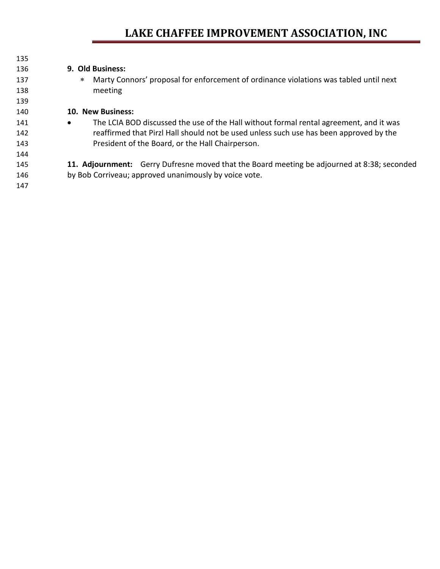| 135 |                                                                                                     |
|-----|-----------------------------------------------------------------------------------------------------|
| 136 | 9. Old Business:                                                                                    |
| 137 | Marty Connors' proposal for enforcement of ordinance violations was tabled until next<br>∗          |
| 138 | meeting                                                                                             |
| 139 |                                                                                                     |
| 140 | 10. New Business:                                                                                   |
| 141 | The LCIA BOD discussed the use of the Hall without formal rental agreement, and it was<br>$\bullet$ |
| 142 | reaffirmed that Pirzl Hall should not be used unless such use has been approved by the              |
| 143 | President of the Board, or the Hall Chairperson.                                                    |
| 144 |                                                                                                     |
| 145 | 11. Adjournment: Gerry Dufresne moved that the Board meeting be adjourned at 8:38; seconded         |
| 146 | by Bob Corriveau; approved unanimously by voice vote.                                               |
| 147 |                                                                                                     |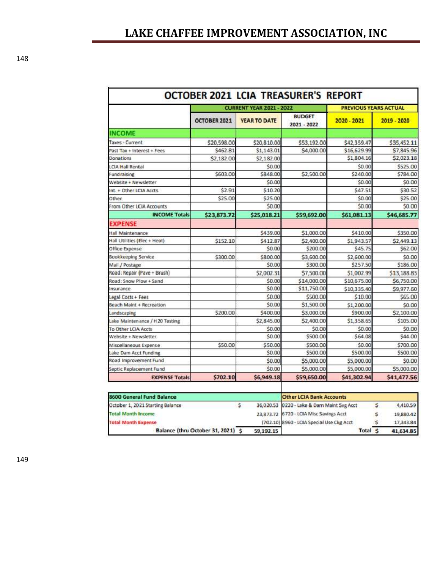|                                  | <b>CURRENT YEAR 2021 - 2022</b> |                     |                                | <b>PREVIOUS YEARS ACTUAL</b> |             |  |
|----------------------------------|---------------------------------|---------------------|--------------------------------|------------------------------|-------------|--|
|                                  | <b>OCTOBER 2021</b>             | <b>YEAR TO DATE</b> | <b>BUDGET</b><br>$2021 - 2022$ | 2020 - 2021                  | 2019 - 2020 |  |
| <b>INCOME</b>                    |                                 |                     |                                |                              |             |  |
| Taxes - Current                  | \$20,598.00                     | \$20,810.00         | \$53,192.00                    | \$42,359.47                  | \$35,452.11 |  |
| Past Tax + Interest + Fees       | \$462.81                        | \$1,143.01          | \$4,000.00                     | \$16,629.99                  | \$7,845.96  |  |
| Donations                        | \$2,182.00                      | \$2,182.00          |                                | \$1,804.16                   | \$2,023.18  |  |
| <b>LCIA Hall Rental</b>          |                                 | \$0.00              |                                | \$0.00                       | \$525.00    |  |
| Fund raising                     | \$603.00                        | \$848.00            | \$2,500.00                     | \$240.00                     | \$784.00    |  |
| Website + Newsletter             |                                 | \$0.00              |                                | \$0.00                       | \$0.00      |  |
| Int. + Other LCIA Accts          | \$2.91                          | \$10.20             |                                | \$47.51                      | \$30.52     |  |
| Other                            | \$25.00                         | \$25.00             |                                | \$0.00                       | \$25.00     |  |
| From Other LCIA Accounts         |                                 | SO.00               |                                | \$0.00                       | 50.00       |  |
| <b>INCOME Totals</b>             | \$23,873.72                     | \$25,018.21         | \$59,692.00                    | \$61,081.13                  | \$46,685.77 |  |
| <b>EXPENSE</b>                   |                                 |                     |                                |                              |             |  |
| Hall Maintenance                 |                                 | \$439.00            | \$1,000.00                     | \$410.00                     | \$350.00    |  |
| Hall Utilities (Elec + Heat)     | \$152.10                        | \$412.87            | \$2,400.00                     | \$1,943.57                   | \$2,449.13  |  |
| Office Expense                   |                                 | \$0.00              | \$200.00                       | \$45.75                      | \$62.00     |  |
| Bookkeeping Service              | \$300.00                        | \$800.00            | \$3,600.00                     | \$2,600.00                   | \$0.00      |  |
| Mail / Postage                   |                                 | \$0.00              | \$300.00                       | \$257.50                     | \$186.00    |  |
| Road: Repair (Pave + Brush)      |                                 | \$2,002.31          | \$7,500.00                     | \$1,002.99                   | \$13,188.83 |  |
| Road: Snow Plow + Sand           |                                 | \$0.00              | \$14,000.00                    | \$10,675.00                  | \$6,750.00  |  |
| Insurance                        |                                 | \$0.00              | \$11,750.00                    | \$10,335.40                  | S9,977.60   |  |
| Legal Costs + Fees               |                                 | \$0.00              | \$500.00                       | \$10.00                      | \$65.00     |  |
| Beach Maint + Recreation         |                                 | \$0.00              | \$1,500.00                     | \$1,200.00                   | \$0.00      |  |
| Landscaping                      | \$200.00                        | \$400.00            | \$3,000.00                     | \$900.00                     | \$2,100.00  |  |
| Lake Mainten ance / H 20 Testing |                                 | \$2,845.00          | \$2,400.00                     | \$1,358.65                   | \$105.00    |  |
| To Other LCIA Accts              |                                 | \$0.00              | \$0.00                         | \$0.00                       | \$0.00      |  |
| Website + Newsletter             |                                 | \$0.00              | \$500.00                       | \$64.08                      | \$44.00     |  |
| Miscellaneous Expense            | \$50.00                         | \$50.00             | \$500.00                       | \$0.00                       | \$700.00    |  |
| Lake Dam Acct Funding            |                                 | \$0.00              | \$500.00                       | \$500.00                     | \$500.00    |  |
| Road Improvement Fund            |                                 | \$0.00              | \$5,000.00                     | \$5,000.00                   | \$0.00      |  |
| Septic Replacement Fund          |                                 | \$0.00              | \$5,000.00                     | \$5,000.00                   | \$5,000.00  |  |
| <b>EXPENSE Totals</b>            | \$702.10                        | \$6,949.18          | \$59,650.00                    | \$41,302.94                  | \$41,477.56 |  |

| 8600 General Fund Balance          |  |           | <b>Other LCIA Bank Accounts</b>             |         |           |
|------------------------------------|--|-----------|---------------------------------------------|---------|-----------|
| October 1, 2021 Starting Balance   |  |           | 36,020.53 0220 - Lake & Dann Maint Svg Acct |         | 4,410.59  |
| <b>Total Month Income</b>          |  |           | 23.873.72 6720 - LCIA Misc Savings Acct     |         | 19,880.42 |
| <b>Total Month Expense</b>         |  |           | (702.10) 8960 - LCIA Special Use Ckg Acct   |         | 17,343.84 |
| Balance (thru October 31, 2021) \$ |  | 59,192.15 |                                             | Total S | 41,634.85 |